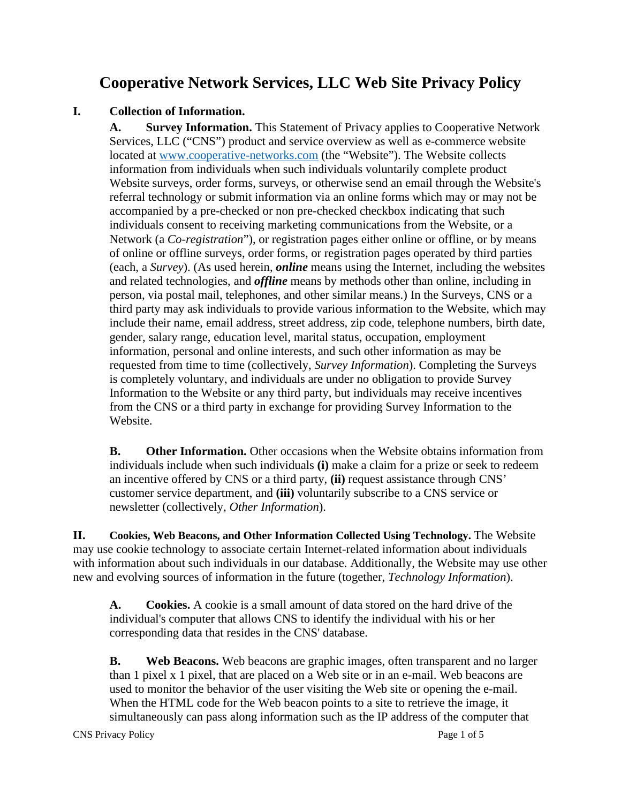# **Cooperative Network Services, LLC Web Site Privacy Policy**

## **I. Collection of Information.**

**A. Survey Information.** This Statement of Privacy applies to Cooperative Network Services, LLC ("CNS") product and service overview as well as e-commerce website located at [www.cooperative-networks.com](http://www.cooperative-networks.com/) (the "Website"). The Website collects information from individuals when such individuals voluntarily complete product Website surveys, order forms, surveys, or otherwise send an email through the Website's referral technology or submit information via an online forms which may or may not be accompanied by a pre-checked or non pre-checked checkbox indicating that such individuals consent to receiving marketing communications from the Website, or a Network (a *Co-registration*"), or registration pages either online or offline, or by means of online or offline surveys, order forms, or registration pages operated by third parties (each, a *Survey*). (As used herein, *online* means using the Internet, including the websites and related technologies, and *offline* means by methods other than online, including in person, via postal mail, telephones, and other similar means.) In the Surveys, CNS or a third party may ask individuals to provide various information to the Website, which may include their name, email address, street address, zip code, telephone numbers, birth date, gender, salary range, education level, marital status, occupation, employment information, personal and online interests, and such other information as may be requested from time to time (collectively, *Survey Information*). Completing the Surveys is completely voluntary, and individuals are under no obligation to provide Survey Information to the Website or any third party, but individuals may receive incentives from the CNS or a third party in exchange for providing Survey Information to the Website.

**B. Other Information.** Other occasions when the Website obtains information from individuals include when such individuals **(i)** make a claim for a prize or seek to redeem an incentive offered by CNS or a third party, **(ii)** request assistance through CNS' customer service department, and **(iii)** voluntarily subscribe to a CNS service or newsletter (collectively, *Other Information*).

**II. Cookies, Web Beacons, and Other Information Collected Using Technology.** The Website may use cookie technology to associate certain Internet-related information about individuals with information about such individuals in our database. Additionally, the Website may use other new and evolving sources of information in the future (together, *Technology Information*).

**A. Cookies.** A cookie is a small amount of data stored on the hard drive of the individual's computer that allows CNS to identify the individual with his or her corresponding data that resides in the CNS' database.

**B. Web Beacons.** Web beacons are graphic images, often transparent and no larger than 1 pixel x 1 pixel, that are placed on a Web site or in an e-mail. Web beacons are used to monitor the behavior of the user visiting the Web site or opening the e-mail. When the HTML code for the Web beacon points to a site to retrieve the image, it simultaneously can pass along information such as the IP address of the computer that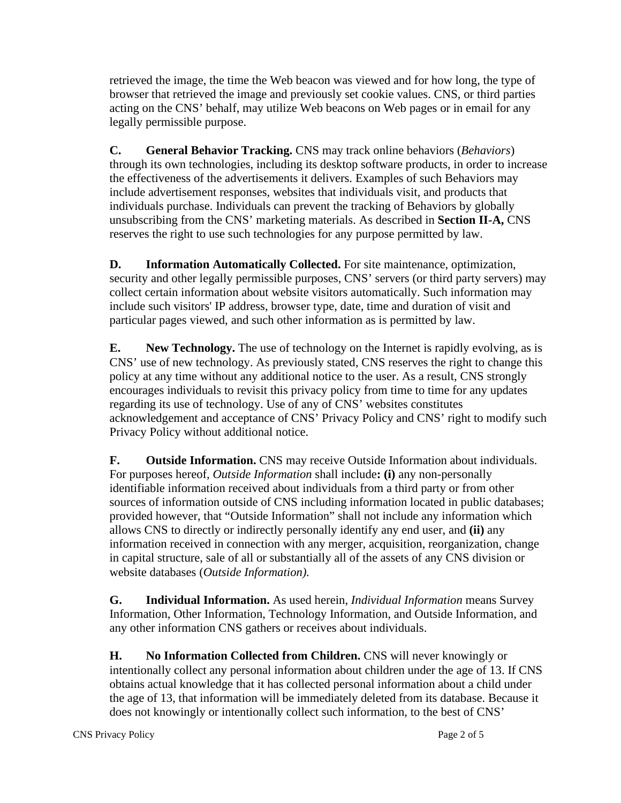retrieved the image, the time the Web beacon was viewed and for how long, the type of browser that retrieved the image and previously set cookie values. CNS, or third parties acting on the CNS' behalf, may utilize Web beacons on Web pages or in email for any legally permissible purpose.

**C. General Behavior Tracking.** CNS may track online behaviors (*Behaviors*) through its own technologies, including its desktop software products, in order to increase the effectiveness of the advertisements it delivers. Examples of such Behaviors may include advertisement responses, websites that individuals visit, and products that individuals purchase. Individuals can prevent the tracking of Behaviors by globally unsubscribing from the CNS' marketing materials. As described in **Section II-A,** CNS reserves the right to use such technologies for any purpose permitted by law.

**D. Information Automatically Collected.** For site maintenance, optimization, security and other legally permissible purposes, CNS' servers (or third party servers) may collect certain information about website visitors automatically. Such information may include such visitors' IP address, browser type, date, time and duration of visit and particular pages viewed, and such other information as is permitted by law.

**E. New Technology.** The use of technology on the Internet is rapidly evolving, as is CNS' use of new technology. As previously stated, CNS reserves the right to change this policy at any time without any additional notice to the user. As a result, CNS strongly encourages individuals to revisit this privacy policy from time to time for any updates regarding its use of technology. Use of any of CNS' websites constitutes acknowledgement and acceptance of CNS' Privacy Policy and CNS' right to modify such Privacy Policy without additional notice.

**F. Outside Information.** CNS may receive Outside Information about individuals. For purposes hereof, *Outside Information* shall include**: (i)** any non-personally identifiable information received about individuals from a third party or from other sources of information outside of CNS including information located in public databases; provided however, that "Outside Information" shall not include any information which allows CNS to directly or indirectly personally identify any end user, and **(ii)** any information received in connection with any merger, acquisition, reorganization, change in capital structure, sale of all or substantially all of the assets of any CNS division or website databases (*Outside Information).*

**G. Individual Information.** As used herein, *Individual Information* means Survey Information, Other Information, Technology Information, and Outside Information, and any other information CNS gathers or receives about individuals.

**H. No Information Collected from Children.** CNS will never knowingly or intentionally collect any personal information about children under the age of 13. If CNS obtains actual knowledge that it has collected personal information about a child under the age of 13, that information will be immediately deleted from its database. Because it does not knowingly or intentionally collect such information, to the best of CNS'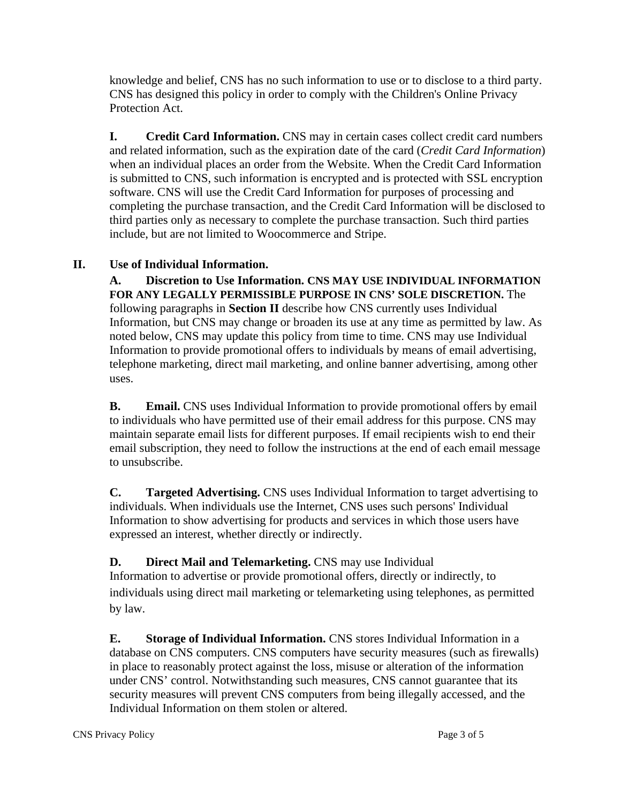knowledge and belief, CNS has no such information to use or to disclose to a third party. CNS has designed this policy in order to comply with the Children's Online Privacy Protection Act.

**I. Credit Card Information.** CNS may in certain cases collect credit card numbers and related information, such as the expiration date of the card (*Credit Card Information*) when an individual places an order from the Website. When the Credit Card Information is submitted to CNS, such information is encrypted and is protected with SSL encryption software. CNS will use the Credit Card Information for purposes of processing and completing the purchase transaction, and the Credit Card Information will be disclosed to third parties only as necessary to complete the purchase transaction. Such third parties include, but are not limited to Woocommerce and Stripe.

#### **II. Use of Individual Information.**

**A. Discretion to Use Information. CNS MAY USE INDIVIDUAL INFORMATION FOR ANY LEGALLY PERMISSIBLE PURPOSE IN CNS' SOLE DISCRETION.** The following paragraphs in **Section II** describe how CNS currently uses Individual Information, but CNS may change or broaden its use at any time as permitted by law. As noted below, CNS may update this policy from time to time. CNS may use Individual Information to provide promotional offers to individuals by means of email advertising, telephone marketing, direct mail marketing, and online banner advertising, among other uses.

**B. Email.** CNS uses Individual Information to provide promotional offers by email to individuals who have permitted use of their email address for this purpose. CNS may maintain separate email lists for different purposes. If email recipients wish to end their email subscription, they need to follow the instructions at the end of each email message to unsubscribe.

**C. Targeted Advertising.** CNS uses Individual Information to target advertising to individuals. When individuals use the Internet, CNS uses such persons' Individual Information to show advertising for products and services in which those users have expressed an interest, whether directly or indirectly.

#### **D. Direct Mail and Telemarketing.** CNS may use Individual

Information to advertise or provide promotional offers, directly or indirectly, to individuals using direct mail marketing or telemarketing using telephones, as permitted by law.

**E. Storage of Individual Information.** CNS stores Individual Information in a database on CNS computers. CNS computers have security measures (such as firewalls) in place to reasonably protect against the loss, misuse or alteration of the information under CNS' control. Notwithstanding such measures, CNS cannot guarantee that its security measures will prevent CNS computers from being illegally accessed, and the Individual Information on them stolen or altered.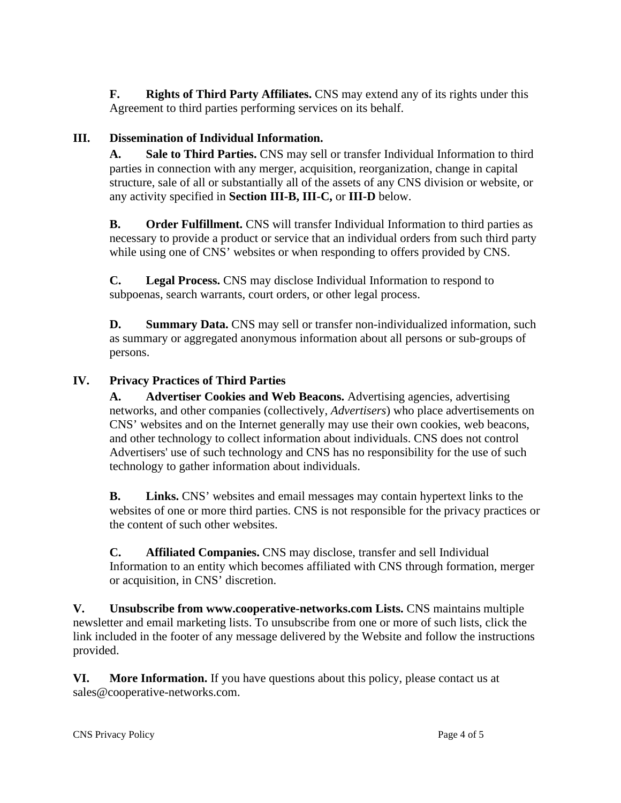**F. Rights of Third Party Affiliates.** CNS may extend any of its rights under this Agreement to third parties performing services on its behalf.

# **III. Dissemination of Individual Information.**

**A. Sale to Third Parties.** CNS may sell or transfer Individual Information to third parties in connection with any merger, acquisition, reorganization, change in capital structure, sale of all or substantially all of the assets of any CNS division or website, or any activity specified in **Section III-B, III-C,** or **III-D** below.

**B. Order Fulfillment.** CNS will transfer Individual Information to third parties as necessary to provide a product or service that an individual orders from such third party while using one of CNS' websites or when responding to offers provided by CNS.

**C. Legal Process.** CNS may disclose Individual Information to respond to subpoenas, search warrants, court orders, or other legal process.

**D. Summary Data.** CNS may sell or transfer non-individualized information, such as summary or aggregated anonymous information about all persons or sub-groups of persons.

## **IV. Privacy Practices of Third Parties**

**A. Advertiser Cookies and Web Beacons.** Advertising agencies, advertising networks, and other companies (collectively, *Advertisers*) who place advertisements on CNS' websites and on the Internet generally may use their own cookies, web beacons, and other technology to collect information about individuals. CNS does not control Advertisers' use of such technology and CNS has no responsibility for the use of such technology to gather information about individuals.

**B. Links.** CNS' websites and email messages may contain hypertext links to the websites of one or more third parties. CNS is not responsible for the privacy practices or the content of such other websites.

**C. Affiliated Companies.** CNS may disclose, transfer and sell Individual Information to an entity which becomes affiliated with CNS through formation, merger or acquisition, in CNS' discretion.

**V. Unsubscribe from www.cooperative-networks.com Lists.** CNS maintains multiple newsletter and email marketing lists. To unsubscribe from one or more of such lists, click the link included in the footer of any message delivered by the Website and follow the instructions provided.

**VI. More Information.** If you have questions about this policy, please contact us at sales@cooperative-networks.com.